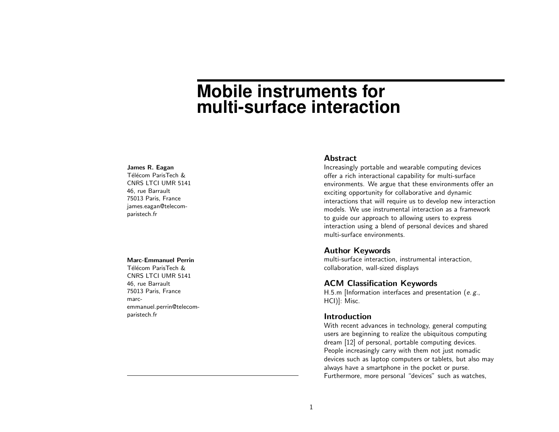# **Mobile instruments for multi-surface interaction**

#### James R. Eagan

Télécom ParisTech & CNRS LTCI UMR 5141 46, rue Barrault 75013 Paris, France james.eagan@telecomparistech.fr

# Marc-Emmanuel Perrin

Télécom ParisTech & CNRS LTCI UMR 5141 46, rue Barrault 75013 Paris, France marcemmanuel.perrin@telecomparistech.fr

## Abstract

Increasingly portable and wearable computing devices offer a rich interactional capability for multi-surface environments. We argue that these environments offer an exciting opportunity for collaborative and dynamic interactions that will require us to develop new interaction models. We use instrumental interaction as a framework to guide our approach to allowing users to express interaction using a blend of personal devices and shared multi-surface environments.

## Author Keywords

multi-surface interaction, instrumental interaction, collaboration, wall-sized displays

# ACM Classification Keywords

H.5.m [Information interfaces and presentation (e. g., HCI)]: Misc.

# Introduction

With recent advances in technology, general computing users are beginning to realize the ubiquitous computing dream [\[12\]](#page-3-0) of personal, portable computing devices. People increasingly carry with them not just nomadic devices such as laptop computers or tablets, but also may always have a smartphone in the pocket or purse. Furthermore, more personal "devices" such as watches,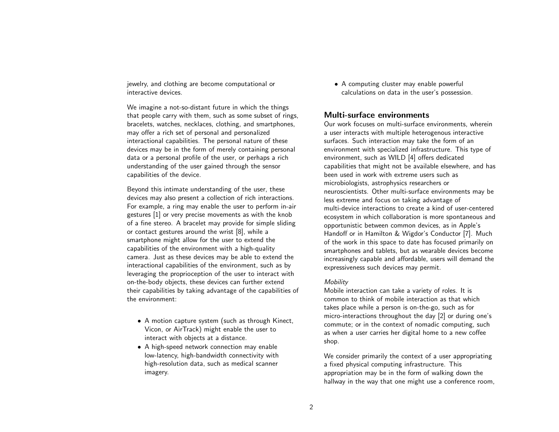jewelry, and clothing are become computational or interactive devices.

We imagine a not-so-distant future in which the things that people carry with them, such as some subset of rings, bracelets, watches, necklaces, clothing, and smartphones, may offer a rich set of personal and personalized interactional capabilities. The personal nature of these devices may be in the form of merely containing personal data or a personal profile of the user, or perhaps a rich understanding of the user gained through the sensor capabilities of the device.

Beyond this intimate understanding of the user, these devices may also present a collection of rich interactions. For example, a ring may enable the user to perform in-air gestures [\[1\]](#page-3-1) or very precise movements as with the knob of a fine stereo. A bracelet may provide for simple sliding or contact gestures around the wrist [\[8\]](#page-3-2), while a smartphone might allow for the user to extend the capabilities of the environment with a high-quality camera. Just as these devices may be able to extend the interactional capabilities of the environment, such as by leveraging the proprioception of the user to interact with on-the-body objects, these devices can further extend their capabilities by taking advantage of the capabilities of the environment:

- A motion capture system (such as through Kinect, Vicon, or AirTrack) might enable the user to interact with objects at a distance.
- A high-speed network connection may enable low-latency, high-bandwidth connectivity with high-resolution data, such as medical scanner imagery.

• A computing cluster may enable powerful calculations on data in the user's possession.

# Multi-surface environments

Our work focuses on multi-surface environments, wherein a user interacts with multiple heterogenous interactive surfaces. Such interaction may take the form of an environment with specialized infrastructure. This type of environment, such as WILD [\[4\]](#page-3-3) offers dedicated capabilities that might not be available elsewhere, and has been used in work with extreme users such as microbiologists, astrophysics researchers or neuroscientists. Other multi-surface environments may be less extreme and focus on taking advantage of multi-device interactions to create a kind of user-centered ecosystem in which collaboration is more spontaneous and opportunistic between common devices, as in Apple's Handoff or in Hamilton & Wigdor's Conductor [\[7\]](#page-3-4). Much of the work in this space to date has focused primarily on smartphones and tablets, but as wearable devices become increasingly capable and affordable, users will demand the expressiveness such devices may permit.

#### Mobility

Mobile interaction can take a variety of roles. It is common to think of mobile interaction as that which takes place while a person is on-the-go, such as for micro-interactions throughout the day [\[2\]](#page-3-5) or during one's commute; or in the context of nomadic computing, such as when a user carries her digital home to a new coffee shop.

We consider primarily the context of a user appropriating a fixed physical computing infrastructure. This appropriation may be in the form of walking down the hallway in the way that one might use a conference room,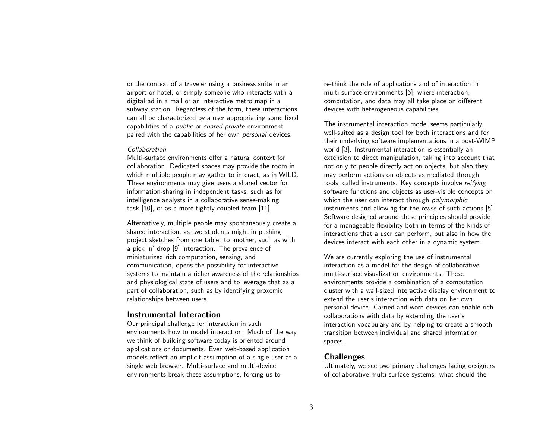or the context of a traveler using a business suite in an airport or hotel, or simply someone who interacts with a digital ad in a mall or an interactive metro map in a subway station. Regardless of the form, these interactions can all be characterized by a user appropriating some fixed capabilities of a public or shared private environment paired with the capabilities of her own personal devices.

#### Collaboration

Multi-surface environments offer a natural context for collaboration. Dedicated spaces may provide the room in which multiple people may gather to interact, as in WILD. These environments may give users a shared vector for information-sharing in independent tasks, such as for intelligence analysts in a collaborative sense-making task [\[10\]](#page-3-6), or as a more tightly-coupled team [\[11\]](#page-3-7).

Alternatively, multiple people may spontaneously create a shared interaction, as two students might in pushing project sketches from one tablet to another, such as with a pick 'n' drop [\[9\]](#page-3-8) interaction. The prevalence of miniaturized rich computation, sensing, and communication, opens the possibility for interactive systems to maintain a richer awareness of the relationships and physiological state of users and to leverage that as a part of collaboration, such as by identifying proxemic relationships between users.

## Instrumental Interaction

Our principal challenge for interaction in such environments how to model interaction. Much of the way we think of building software today is oriented around applications or documents. Even web-based application models reflect an implicit assumption of a single user at a single web browser. Multi-surface and multi-device environments break these assumptions, forcing us to

re-think the role of applications and of interaction in multi-surface environments [\[6\]](#page-3-9), where interaction, computation, and data may all take place on different devices with heterogeneous capabilities.

The instrumental interaction model seems particularly well-suited as a design tool for both interactions and for their underlying software implementations in a post-WIMP world [\[3\]](#page-3-10). Instrumental interaction is essentially an extension to direct manipulation, taking into account that not only to people directly act on objects, but also they may perform actions on objects as mediated through tools, called instruments. Key concepts involve reifying software functions and objects as user-visible concepts on which the user can interact through *polymorphic* instruments and allowing for the reuse of such actions [\[5\]](#page-3-11). Software designed around these principles should provide for a manageable flexibility both in terms of the kinds of interactions that a user can perform, but also in how the devices interact with each other in a dynamic system.

We are currently exploring the use of instrumental interaction as a model for the design of collaborative multi-surface visualization environments. These environments provide a combination of a computation cluster with a wall-sized interactive display environment to extend the user's interaction with data on her own personal device. Carried and worn devices can enable rich collaborations with data by extending the user's interaction vocabulary and by helping to create a smooth transition between individual and shared information spaces.

# Challenges

Ultimately, we see two primary challenges facing designers of collaborative multi-surface systems: what should the